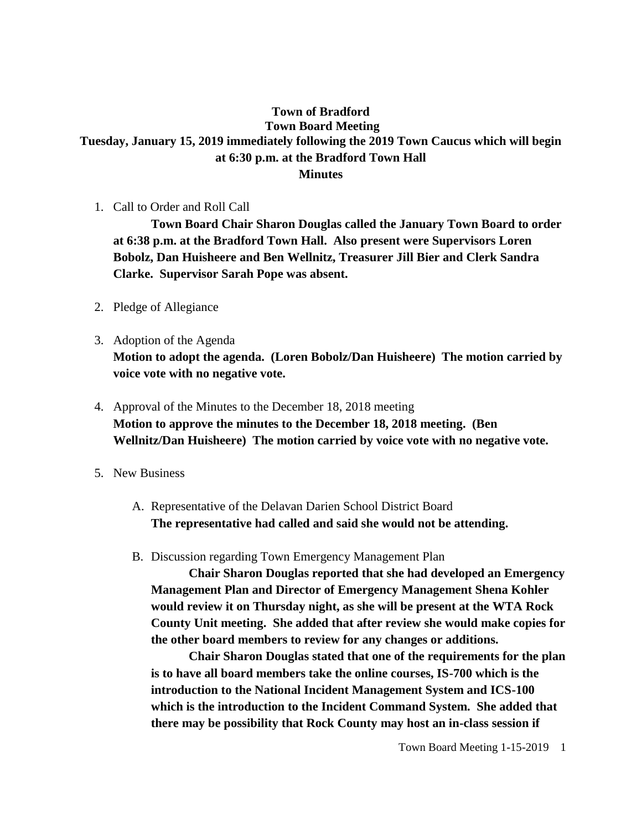## **Town of Bradford Town Board Meeting Tuesday, January 15, 2019 immediately following the 2019 Town Caucus which will begin at 6:30 p.m. at the Bradford Town Hall Minutes**

1. Call to Order and Roll Call

**Town Board Chair Sharon Douglas called the January Town Board to order at 6:38 p.m. at the Bradford Town Hall. Also present were Supervisors Loren Bobolz, Dan Huisheere and Ben Wellnitz, Treasurer Jill Bier and Clerk Sandra Clarke. Supervisor Sarah Pope was absent.**

- 2. Pledge of Allegiance
- 3. Adoption of the Agenda **Motion to adopt the agenda. (Loren Bobolz/Dan Huisheere) The motion carried by voice vote with no negative vote.**
- 4. Approval of the Minutes to the December 18, 2018 meeting **Motion to approve the minutes to the December 18, 2018 meeting. (Ben Wellnitz/Dan Huisheere) The motion carried by voice vote with no negative vote.**
- 5. New Business
	- A. Representative of the Delavan Darien School District Board **The representative had called and said she would not be attending.**
	- B. Discussion regarding Town Emergency Management Plan

**Chair Sharon Douglas reported that she had developed an Emergency Management Plan and Director of Emergency Management Shena Kohler would review it on Thursday night, as she will be present at the WTA Rock County Unit meeting. She added that after review she would make copies for the other board members to review for any changes or additions.** 

**Chair Sharon Douglas stated that one of the requirements for the plan is to have all board members take the online courses, IS-700 which is the introduction to the National Incident Management System and ICS-100 which is the introduction to the Incident Command System. She added that there may be possibility that Rock County may host an in-class session if**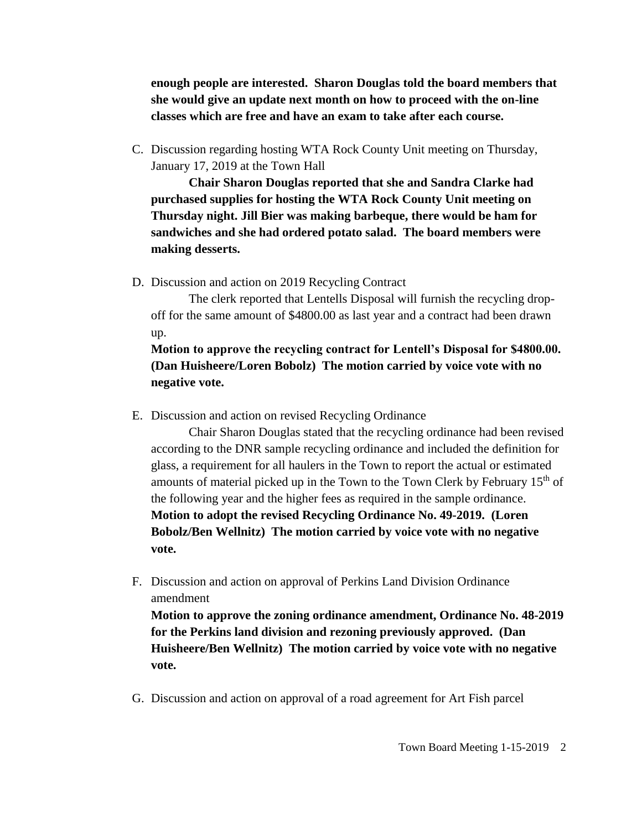**enough people are interested. Sharon Douglas told the board members that she would give an update next month on how to proceed with the on-line classes which are free and have an exam to take after each course.**

C. Discussion regarding hosting WTA Rock County Unit meeting on Thursday, January 17, 2019 at the Town Hall

**Chair Sharon Douglas reported that she and Sandra Clarke had purchased supplies for hosting the WTA Rock County Unit meeting on Thursday night. Jill Bier was making barbeque, there would be ham for sandwiches and she had ordered potato salad. The board members were making desserts.**

D. Discussion and action on 2019 Recycling Contract

The clerk reported that Lentells Disposal will furnish the recycling dropoff for the same amount of \$4800.00 as last year and a contract had been drawn up.

**Motion to approve the recycling contract for Lentell's Disposal for \$4800.00. (Dan Huisheere/Loren Bobolz) The motion carried by voice vote with no negative vote.**

E. Discussion and action on revised Recycling Ordinance

Chair Sharon Douglas stated that the recycling ordinance had been revised according to the DNR sample recycling ordinance and included the definition for glass, a requirement for all haulers in the Town to report the actual or estimated amounts of material picked up in the Town to the Town Clerk by February  $15<sup>th</sup>$  of the following year and the higher fees as required in the sample ordinance. **Motion to adopt the revised Recycling Ordinance No. 49-2019. (Loren Bobolz/Ben Wellnitz) The motion carried by voice vote with no negative vote.**

F. Discussion and action on approval of Perkins Land Division Ordinance amendment

**Motion to approve the zoning ordinance amendment, Ordinance No. 48-2019 for the Perkins land division and rezoning previously approved. (Dan Huisheere/Ben Wellnitz) The motion carried by voice vote with no negative vote.** 

G. Discussion and action on approval of a road agreement for Art Fish parcel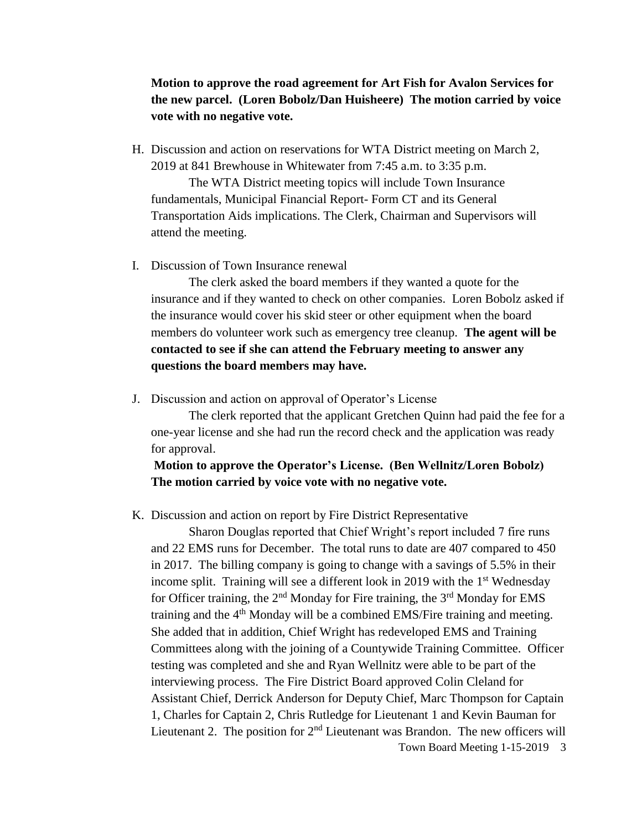## **Motion to approve the road agreement for Art Fish for Avalon Services for the new parcel. (Loren Bobolz/Dan Huisheere) The motion carried by voice vote with no negative vote.**

H. Discussion and action on reservations for WTA District meeting on March 2, 2019 at 841 Brewhouse in Whitewater from 7:45 a.m. to 3:35 p.m.

The WTA District meeting topics will include Town Insurance fundamentals, Municipal Financial Report- Form CT and its General Transportation Aids implications. The Clerk, Chairman and Supervisors will attend the meeting.

I. Discussion of Town Insurance renewal

The clerk asked the board members if they wanted a quote for the insurance and if they wanted to check on other companies. Loren Bobolz asked if the insurance would cover his skid steer or other equipment when the board members do volunteer work such as emergency tree cleanup. **The agent will be contacted to see if she can attend the February meeting to answer any questions the board members may have.**

J. Discussion and action on approval of Operator's License

The clerk reported that the applicant Gretchen Quinn had paid the fee for a one-year license and she had run the record check and the application was ready for approval.

### **Motion to approve the Operator's License. (Ben Wellnitz/Loren Bobolz) The motion carried by voice vote with no negative vote.**

K. Discussion and action on report by Fire District Representative

Town Board Meeting 1-15-2019 3 Sharon Douglas reported that Chief Wright's report included 7 fire runs and 22 EMS runs for December. The total runs to date are 407 compared to 450 in 2017. The billing company is going to change with a savings of 5.5% in their income split. Training will see a different look in 2019 with the  $1<sup>st</sup>$  Wednesday for Officer training, the  $2<sup>nd</sup>$  Monday for Fire training, the  $3<sup>rd</sup>$  Monday for EMS training and the  $4<sup>th</sup>$  Monday will be a combined EMS/Fire training and meeting. She added that in addition, Chief Wright has redeveloped EMS and Training Committees along with the joining of a Countywide Training Committee. Officer testing was completed and she and Ryan Wellnitz were able to be part of the interviewing process. The Fire District Board approved Colin Cleland for Assistant Chief, Derrick Anderson for Deputy Chief, Marc Thompson for Captain 1, Charles for Captain 2, Chris Rutledge for Lieutenant 1 and Kevin Bauman for Lieutenant 2. The position for  $2<sup>nd</sup>$  Lieutenant was Brandon. The new officers will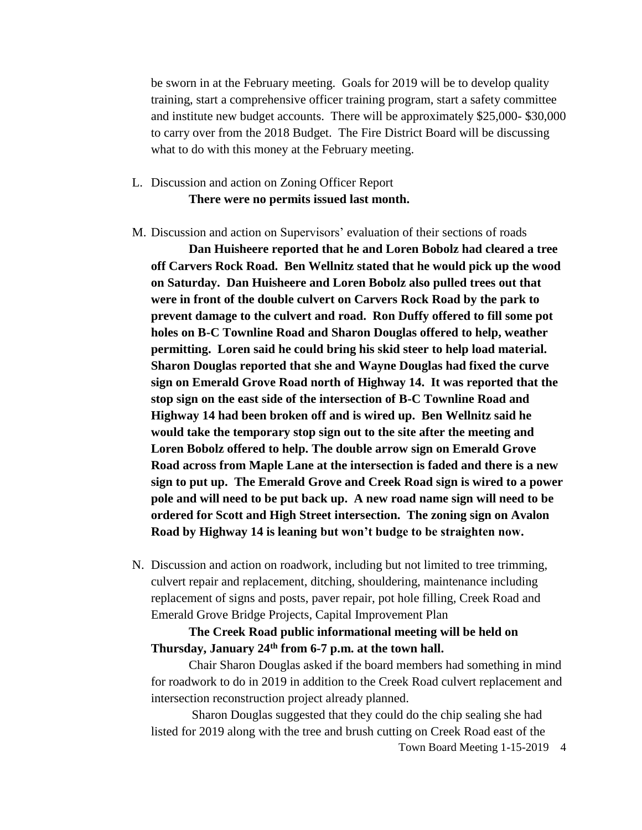be sworn in at the February meeting. Goals for 2019 will be to develop quality training, start a comprehensive officer training program, start a safety committee and institute new budget accounts. There will be approximately \$25,000- \$30,000 to carry over from the 2018 Budget. The Fire District Board will be discussing what to do with this money at the February meeting.

# L. Discussion and action on Zoning Officer Report **There were no permits issued last month.**

M. Discussion and action on Supervisors' evaluation of their sections of roads

**Dan Huisheere reported that he and Loren Bobolz had cleared a tree off Carvers Rock Road. Ben Wellnitz stated that he would pick up the wood on Saturday. Dan Huisheere and Loren Bobolz also pulled trees out that were in front of the double culvert on Carvers Rock Road by the park to prevent damage to the culvert and road. Ron Duffy offered to fill some pot holes on B-C Townline Road and Sharon Douglas offered to help, weather permitting. Loren said he could bring his skid steer to help load material. Sharon Douglas reported that she and Wayne Douglas had fixed the curve sign on Emerald Grove Road north of Highway 14. It was reported that the stop sign on the east side of the intersection of B-C Townline Road and Highway 14 had been broken off and is wired up. Ben Wellnitz said he would take the temporary stop sign out to the site after the meeting and Loren Bobolz offered to help. The double arrow sign on Emerald Grove Road across from Maple Lane at the intersection is faded and there is a new sign to put up. The Emerald Grove and Creek Road sign is wired to a power pole and will need to be put back up. A new road name sign will need to be ordered for Scott and High Street intersection. The zoning sign on Avalon Road by Highway 14 is leaning but won't budge to be straighten now.** 

N. Discussion and action on roadwork, including but not limited to tree trimming, culvert repair and replacement, ditching, shouldering, maintenance including replacement of signs and posts, paver repair, pot hole filling, Creek Road and Emerald Grove Bridge Projects, Capital Improvement Plan

#### **The Creek Road public informational meeting will be held on Thursday, January 24th from 6-7 p.m. at the town hall.**

Chair Sharon Douglas asked if the board members had something in mind for roadwork to do in 2019 in addition to the Creek Road culvert replacement and intersection reconstruction project already planned.

Sharon Douglas suggested that they could do the chip sealing she had listed for 2019 along with the tree and brush cutting on Creek Road east of the

Town Board Meeting 1-15-2019 4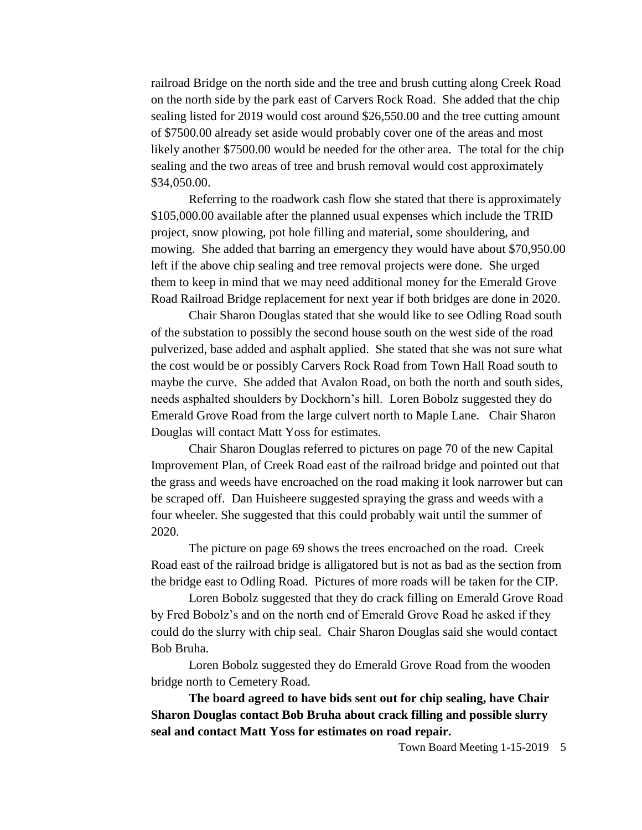railroad Bridge on the north side and the tree and brush cutting along Creek Road on the north side by the park east of Carvers Rock Road. She added that the chip sealing listed for 2019 would cost around \$26,550.00 and the tree cutting amount of \$7500.00 already set aside would probably cover one of the areas and most likely another \$7500.00 would be needed for the other area. The total for the chip sealing and the two areas of tree and brush removal would cost approximately \$34,050.00.

Referring to the roadwork cash flow she stated that there is approximately \$105,000.00 available after the planned usual expenses which include the TRID project, snow plowing, pot hole filling and material, some shouldering, and mowing. She added that barring an emergency they would have about \$70,950.00 left if the above chip sealing and tree removal projects were done. She urged them to keep in mind that we may need additional money for the Emerald Grove Road Railroad Bridge replacement for next year if both bridges are done in 2020.

Chair Sharon Douglas stated that she would like to see Odling Road south of the substation to possibly the second house south on the west side of the road pulverized, base added and asphalt applied. She stated that she was not sure what the cost would be or possibly Carvers Rock Road from Town Hall Road south to maybe the curve. She added that Avalon Road, on both the north and south sides, needs asphalted shoulders by Dockhorn's hill. Loren Bobolz suggested they do Emerald Grove Road from the large culvert north to Maple Lane. Chair Sharon Douglas will contact Matt Yoss for estimates.

Chair Sharon Douglas referred to pictures on page 70 of the new Capital Improvement Plan, of Creek Road east of the railroad bridge and pointed out that the grass and weeds have encroached on the road making it look narrower but can be scraped off. Dan Huisheere suggested spraying the grass and weeds with a four wheeler. She suggested that this could probably wait until the summer of 2020.

The picture on page 69 shows the trees encroached on the road. Creek Road east of the railroad bridge is alligatored but is not as bad as the section from the bridge east to Odling Road. Pictures of more roads will be taken for the CIP.

Loren Bobolz suggested that they do crack filling on Emerald Grove Road by Fred Bobolz's and on the north end of Emerald Grove Road he asked if they could do the slurry with chip seal. Chair Sharon Douglas said she would contact Bob Bruha.

Loren Bobolz suggested they do Emerald Grove Road from the wooden bridge north to Cemetery Road.

**The board agreed to have bids sent out for chip sealing, have Chair Sharon Douglas contact Bob Bruha about crack filling and possible slurry seal and contact Matt Yoss for estimates on road repair.**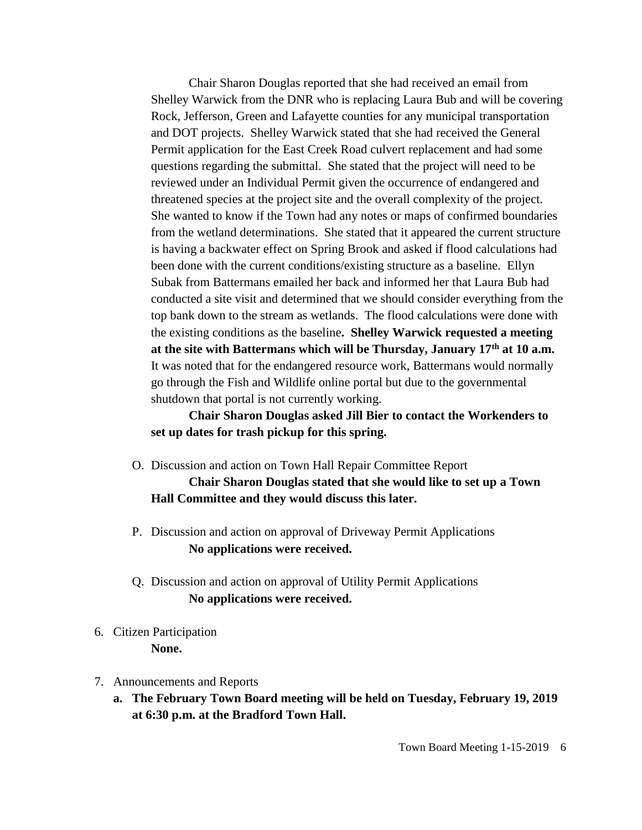Chair Sharon Douglas reported that she had received an email from Shelley Warwick from the DNR who is replacing Laura Bub and will be covering Rock, Jefferson, Green and Lafayette counties for any municipal transportation and DOT projects. Shelley Warwick stated that she had received the General Permit application for the East Creek Road culvert replacement and had some questions regarding the submittal. She stated that the project will need to be reviewed under an Individual Permit given the occurrence of endangered and threatened species at the project site and the overall complexity of the project. She wanted to know if the Town had any notes or maps of confirmed boundaries from the wetland determinations. She stated that it appeared the current structure is having a backwater effect on Spring Brook and asked if flood calculations had been done with the current conditions/existing structure as a baseline. Ellyn Subak from Battermans emailed her back and informed her that Laura Bub had conducted a site visit and determined that we should consider everything from the top bank down to the stream as wetlands. The flood calculations were done with the existing conditions as the baseline**. Shelley Warwick requested a meeting at the site with Battermans which will be Thursday, January 17th at 10 a.m.** It was noted that for the endangered resource work, Battermans would normally go through the Fish and Wildlife online portal but due to the governmental shutdown that portal is not currently working.

**Chair Sharon Douglas asked Jill Bier to contact the Workenders to set up dates for trash pickup for this spring.**

- O. Discussion and action on Town Hall Repair Committee Report **Chair Sharon Douglas stated that she would like to set up a Town Hall Committee and they would discuss this later.**
- P. Discussion and action on approval of Driveway Permit Applications **No applications were received.**
- Q. Discussion and action on approval of Utility Permit Applications **No applications were received.**
- 6. Citizen Participation **None.**
- 7. Announcements and Reports
	- **a. The February Town Board meeting will be held on Tuesday, February 19, 2019 at 6:30 p.m. at the Bradford Town Hall.**